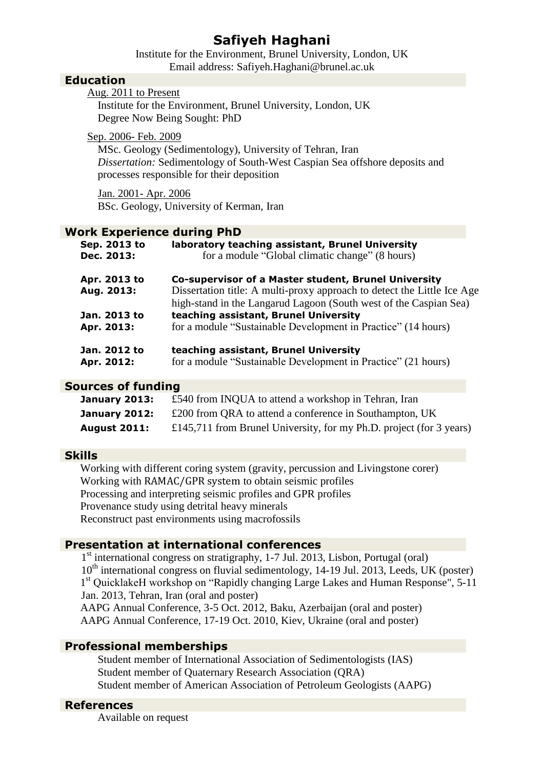# **Safiyeh Haghani**

Institute for the Environment, Brunel University, London, UK Email address: Safiyeh.Haghani@brunel.ac.uk

## **Education**

|  | Aug. 2011 to Present |
|--|----------------------|
|  |                      |

Institute for the Environment, Brunel University, London, UK Degree Now Being Sought: PhD

#### Sep. 2006- Feb. 2009

MSc. Geology (Sedimentology), University of Tehran, Iran *Dissertation:* Sedimentology of South-West Caspian Sea offshore deposits and processes responsible for their deposition

Jan. 2001- Apr. 2006 BSc. Geology, University of Kerman, Iran

### **Work Experience during PhD**

| Sep. 2013 to<br>Dec. 2013: | laboratory teaching assistant, Brunel University<br>for a module "Global climatic change" (8 hours)    |
|----------------------------|--------------------------------------------------------------------------------------------------------|
| Apr. 2013 to               | Co-supervisor of a Master student, Brunel University                                                   |
| Aug. 2013:                 | Dissertation title: A multi-proxy approach to detect the Little Ice Age                                |
|                            | high-stand in the Langarud Lagoon (South west of the Caspian Sea)                                      |
| Jan. 2013 to               | teaching assistant, Brunel University                                                                  |
| Apr. 2013:                 | for a module "Sustainable Development in Practice" (14 hours)                                          |
| Jan. 2012 to<br>Apr. 2012: | teaching assistant, Brunel University<br>for a module "Sustainable Development in Practice" (21 hours) |
|                            |                                                                                                        |

## **Sources of funding**

| January 2013:       | £540 from INQUA to attend a workshop in Tehran, Iran                |
|---------------------|---------------------------------------------------------------------|
| January 2012:       | £200 from QRA to attend a conference in Southampton, UK             |
| <b>August 2011:</b> | £145,711 from Brunel University, for my Ph.D. project (for 3 years) |

## **Skills**

Working with different coring system (gravity, percussion and Livingstone corer) Working with RAMAC/GPR system to obtain seismic profiles Processing and interpreting seismic profiles and GPR profiles Provenance study using detrital heavy minerals Reconstruct past environments using macrofossils

# **Presentation at international conferences**

1<sup>st</sup> international congress on stratigraphy, 1-7 Jul. 2013, Lisbon, Portugal (oral)  $10<sup>th</sup>$  international congress on fluvial sedimentology, 14-19 Jul. 2013, Leeds, UK (poster) 1<sup>st</sup> QuicklakeH workshop on "Rapidly changing Large Lakes and Human Response", 5-11 Jan. 2013, Tehran, Iran (oral and poster)

AAPG Annual Conference, 3-5 Oct. 2012, Baku, Azerbaijan (oral and poster) AAPG Annual Conference, 17-19 Oct. 2010, Kiev, Ukraine (oral and poster)

## **Professional memberships**

Student member of [International Association of Sedimentologists](http://www.sedimentologists.org/) (IAS) Student member of Quaternary Research Association (QRA) Student member of American Association of Petroleum Geologists (AAPG)

## **References**

Available on request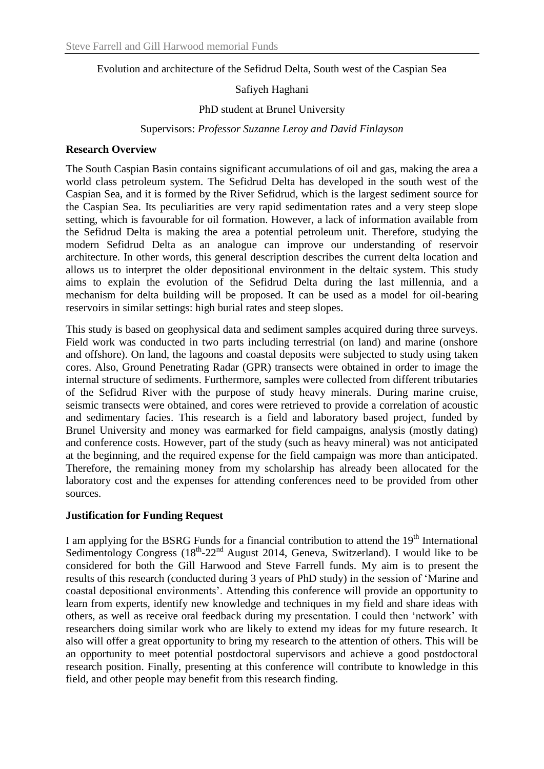Evolution and architecture of the Sefidrud Delta, South west of the Caspian Sea

## Safiyeh Haghani

#### PhD student at Brunel University

#### Supervisors: *Professor Suzanne Leroy and David Finlayson*

### **Research Overview**

The South Caspian Basin contains significant accumulations of oil and gas, making the area a world class petroleum system. The Sefidrud Delta has developed in the south west of the Caspian Sea, and it is formed by the River Sefidrud, which is the largest sediment source for the Caspian Sea. Its peculiarities are very rapid sedimentation rates and a very steep slope setting, which is favourable for oil formation. However, a lack of information available from the Sefidrud Delta is making the area a potential petroleum unit. Therefore, studying the modern Sefidrud Delta as an analogue can improve our understanding of reservoir architecture. In other words, this general description describes the current delta location and allows us to interpret the older depositional environment in the deltaic system. This study aims to explain the evolution of the Sefidrud Delta during the last millennia, and a mechanism for delta building will be proposed. It can be used as a model for oil-bearing reservoirs in similar settings: high burial rates and steep slopes.

This study is based on geophysical data and sediment samples acquired during three surveys. Field work was conducted in two parts including terrestrial (on land) and marine (onshore and offshore). On land, the lagoons and coastal deposits were subjected to study using taken cores. Also, Ground Penetrating Radar (GPR) transects were obtained in order to image the internal structure of sediments. Furthermore, samples were collected from different tributaries of the Sefidrud River with the purpose of study heavy minerals. During marine cruise, seismic transects were obtained, and cores were retrieved to provide a correlation of acoustic and sedimentary facies. This research is a field and laboratory based project, funded by Brunel University and money was earmarked for field campaigns, analysis (mostly dating) and conference costs. However, part of the study (such as heavy mineral) was not anticipated at the beginning, and the required expense for the field campaign was more than anticipated. Therefore, the remaining money from my scholarship has already been allocated for the laboratory cost and the expenses for attending conferences need to be provided from other sources.

#### **Justification for Funding Request**

I am applying for the BSRG Funds for a financial contribution to attend the 19<sup>th</sup> International [Sedimentology Congress](http://www.sedimentologists.org/meetings/isc)  $(18<sup>th</sup>-22<sup>nd</sup>$  August 2014, Geneva, Switzerland). I would like to be considered for both the Gill Harwood and Steve Farrell funds. My aim is to present the results of this research (conducted during 3 years of PhD study) in the session of 'Marine and coastal depositional environments'. Attending this conference will provide an opportunity to learn from experts, identify new knowledge and techniques in my field and share ideas with others, as well as receive oral feedback during my presentation. I could then 'network' with researchers doing similar work who are likely to extend my ideas for my future research. It also will offer a great opportunity to bring my research to the attention of others. This will be an opportunity to meet potential postdoctoral supervisors and achieve a good postdoctoral research position. Finally, presenting at this conference will contribute to knowledge in this field, and other people may benefit from this research finding.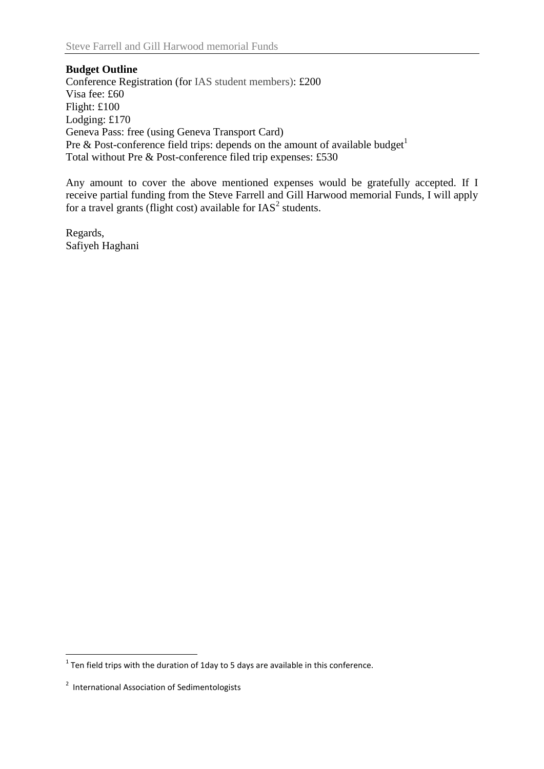**Budget Outline** Conference Registration (for IAS student members): £200 Visa fee: £60 Flight: £100 Lodging: £170 Geneva Pass: free (using Geneva Transport Card) Pre & Post-conference field trips: depends on the amount of available budget<sup>1</sup> Total without Pre & Post-conference filed trip expenses: £530

Any amount to cover the above mentioned expenses would be gratefully accepted. If I receive partial funding from the Steve Farrell and Gill Harwood memorial Funds, I will apply for a travel grants (flight cost) available for  $IAS<sup>2</sup>$  students.

Regards, Safiyeh Haghani

 1 Ten field trips with the duration of 1day to 5 days are available in this conference.

<sup>&</sup>lt;sup>2</sup> International Association of Sedimentologists